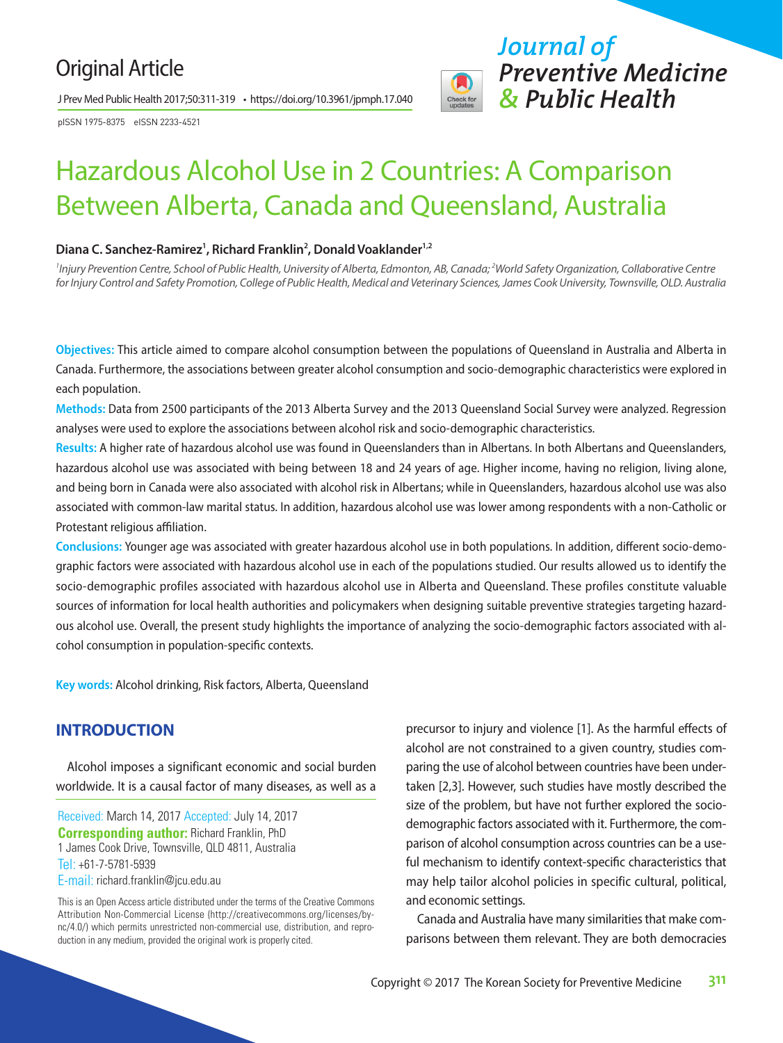### Original Article

J Prev Med Public Health 2017;50:311-319 • https://doi.org/10.3961/jpmph.17.040

pISSN 1975-8375 eISSN 2233-4521



## Hazardous Alcohol Use in 2 Countries: A Comparison Between Alberta, Canada and Queensland, Australia

#### Diana C. Sanchez-Ramirez<sup>1</sup>, Richard Franklin<sup>2</sup>, Donald Voaklander<sup>1,2</sup>

*1 Injury Prevention Centre, School of Public Health, University of Alberta, Edmonton, AB, Canada; 2 World Safety Organization, Collaborative Centre for Injury Control and Safety Promotion, College of Public Health, Medical and Veterinary Sciences, James Cook University, Townsville, OLD. Australia*

**Objectives:** This article aimed to compare alcohol consumption between the populations of Queensland in Australia and Alberta in Canada. Furthermore, the associations between greater alcohol consumption and socio-demographic characteristics were explored in each population.

**Methods:** Data from 2500 participants of the 2013 Alberta Survey and the 2013 Queensland Social Survey were analyzed. Regression analyses were used to explore the associations between alcohol risk and socio-demographic characteristics.

Results: A higher rate of hazardous alcohol use was found in Queenslanders than in Albertans. In both Albertans and Queenslanders, hazardous alcohol use was associated with being between 18 and 24 years of age. Higher income, having no religion, living alone, and being born in Canada were also associated with alcohol risk in Albertans; while in Queenslanders, hazardous alcohol use was also associated with common-law marital status. In addition, hazardous alcohol use was lower among respondents with a non-Catholic or Protestant religious affiliation.

**Conclusions:** Younger age was associated with greater hazardous alcohol use in both populations. In addition, different socio-demographic factors were associated with hazardous alcohol use in each of the populations studied. Our results allowed us to identify the socio-demographic profiles associated with hazardous alcohol use in Alberta and Queensland. These profiles constitute valuable sources of information for local health authorities and policymakers when designing suitable preventive strategies targeting hazardous alcohol use. Overall, the present study highlights the importance of analyzing the socio-demographic factors associated with alcohol consumption in population-specific contexts.

**Key words:** Alcohol drinking, Risk factors, Alberta, Queensland

#### **INTRODUCTION**

Alcohol imposes a significant economic and social burden worldwide. It is a causal factor of many diseases, as well as a

Received: March 14, 2017 Accepted: July 14, 2017 **Corresponding author:** Richard Franklin, PhD 1 James Cook Drive, Townsville, QLD 4811, Australia Tel: +61-7-5781-5939 E-mail: richard.franklin@jcu.edu.au

This is an Open Access article distributed under the terms of the Creative Commons Attribution Non-Commercial License (http://creativecommons.org/licenses/bync/4.0/) which permits unrestricted non-commercial use, distribution, and reproduction in any medium, provided the original work is properly cited.

precursor to injury and violence [1]. As the harmful effects of alcohol are not constrained to a given country, studies comparing the use of alcohol between countries have been undertaken [2,3]. However, such studies have mostly described the size of the problem, but have not further explored the sociodemographic factors associated with it. Furthermore, the comparison of alcohol consumption across countries can be a useful mechanism to identify context-specific characteristics that may help tailor alcohol policies in specific cultural, political, and economic settings.

Canada and Australia have many similarities that make comparisons between them relevant. They are both democracies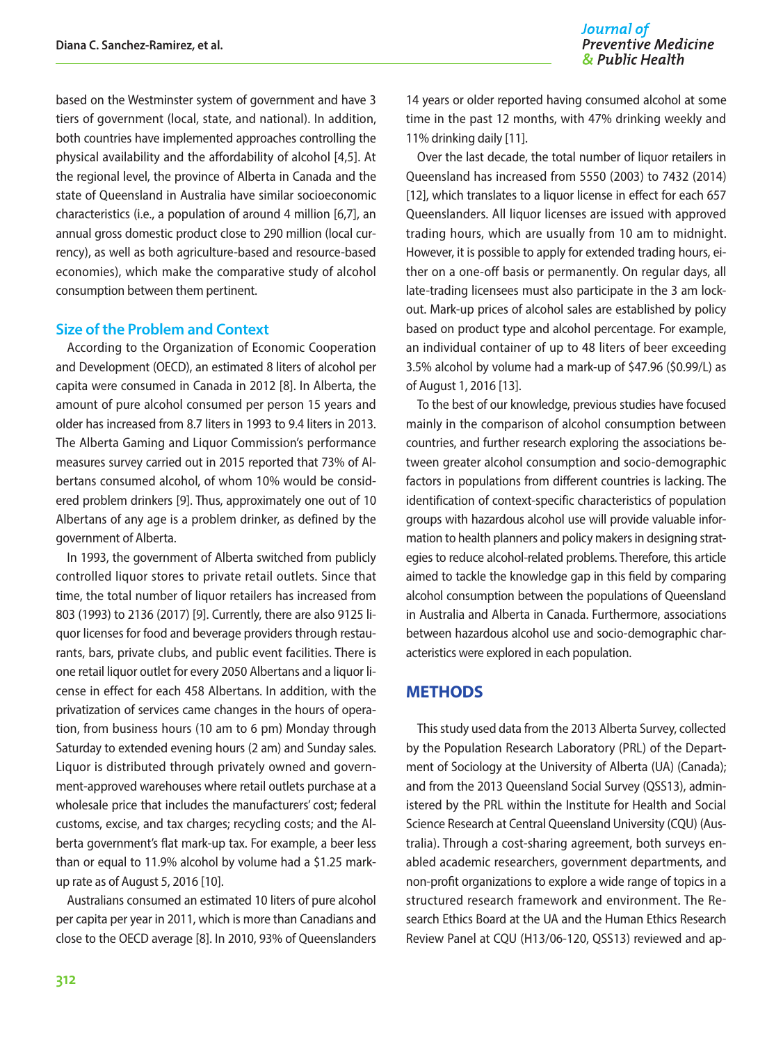based on the Westminster system of government and have 3 tiers of government (local, state, and national). In addition, both countries have implemented approaches controlling the physical availability and the affordability of alcohol [4,5]. At the regional level, the province of Alberta in Canada and the state of Queensland in Australia have similar socioeconomic characteristics (i.e., a population of around 4 million [6,7], an annual gross domestic product close to 290 million (local currency), as well as both agriculture-based and resource-based economies), which make the comparative study of alcohol consumption between them pertinent.

#### **Size of the Problem and Context**

According to the Organization of Economic Cooperation and Development (OECD), an estimated 8 liters of alcohol per capita were consumed in Canada in 2012 [8]. In Alberta, the amount of pure alcohol consumed per person 15 years and older has increased from 8.7 liters in 1993 to 9.4 liters in 2013. The Alberta Gaming and Liquor Commission's performance measures survey carried out in 2015 reported that 73% of Albertans consumed alcohol, of whom 10% would be considered problem drinkers [9]. Thus, approximately one out of 10 Albertans of any age is a problem drinker, as defined by the government of Alberta.

In 1993, the government of Alberta switched from publicly controlled liquor stores to private retail outlets. Since that time, the total number of liquor retailers has increased from 803 (1993) to 2136 (2017) [9]. Currently, there are also 9125 liquor licenses for food and beverage providers through restaurants, bars, private clubs, and public event facilities. There is one retail liquor outlet for every 2050 Albertans and a liquor license in effect for each 458 Albertans. In addition, with the privatization of services came changes in the hours of operation, from business hours (10 am to 6 pm) Monday through Saturday to extended evening hours (2 am) and Sunday sales. Liquor is distributed through privately owned and government-approved warehouses where retail outlets purchase at a wholesale price that includes the manufacturers' cost; federal customs, excise, and tax charges; recycling costs; and the Alberta government's flat mark-up tax. For example, a beer less than or equal to 11.9% alcohol by volume had a \$1.25 markup rate as of August 5, 2016 [10].

Australians consumed an estimated 10 liters of pure alcohol per capita per year in 2011, which is more than Canadians and close to the OECD average [8]. In 2010, 93% of Queenslanders

14 years or older reported having consumed alcohol at some time in the past 12 months, with 47% drinking weekly and 11% drinking daily [11].

Over the last decade, the total number of liquor retailers in Queensland has increased from 5550 (2003) to 7432 (2014) [12], which translates to a liquor license in effect for each 657 Queenslanders. All liquor licenses are issued with approved trading hours, which are usually from 10 am to midnight. However, it is possible to apply for extended trading hours, either on a one-off basis or permanently. On regular days, all late-trading licensees must also participate in the 3 am lockout. Mark-up prices of alcohol sales are established by policy based on product type and alcohol percentage. For example, an individual container of up to 48 liters of beer exceeding 3.5% alcohol by volume had a mark-up of \$47.96 (\$0.99/L) as of August 1, 2016 [13].

To the best of our knowledge, previous studies have focused mainly in the comparison of alcohol consumption between countries, and further research exploring the associations between greater alcohol consumption and socio-demographic factors in populations from different countries is lacking. The identification of context-specific characteristics of population groups with hazardous alcohol use will provide valuable information to health planners and policy makers in designing strategies to reduce alcohol-related problems. Therefore, this article aimed to tackle the knowledge gap in this field by comparing alcohol consumption between the populations of Queensland in Australia and Alberta in Canada. Furthermore, associations between hazardous alcohol use and socio-demographic characteristics were explored in each population.

#### **METHODS**

This study used data from the 2013 Alberta Survey, collected by the Population Research Laboratory (PRL) of the Department of Sociology at the University of Alberta (UA) (Canada); and from the 2013 Queensland Social Survey (QSS13), administered by the PRL within the Institute for Health and Social Science Research at Central Queensland University (CQU) (Australia). Through a cost-sharing agreement, both surveys enabled academic researchers, government departments, and non-profit organizations to explore a wide range of topics in a structured research framework and environment. The Research Ethics Board at the UA and the Human Ethics Research Review Panel at CQU (H13/06-120, QSS13) reviewed and ap-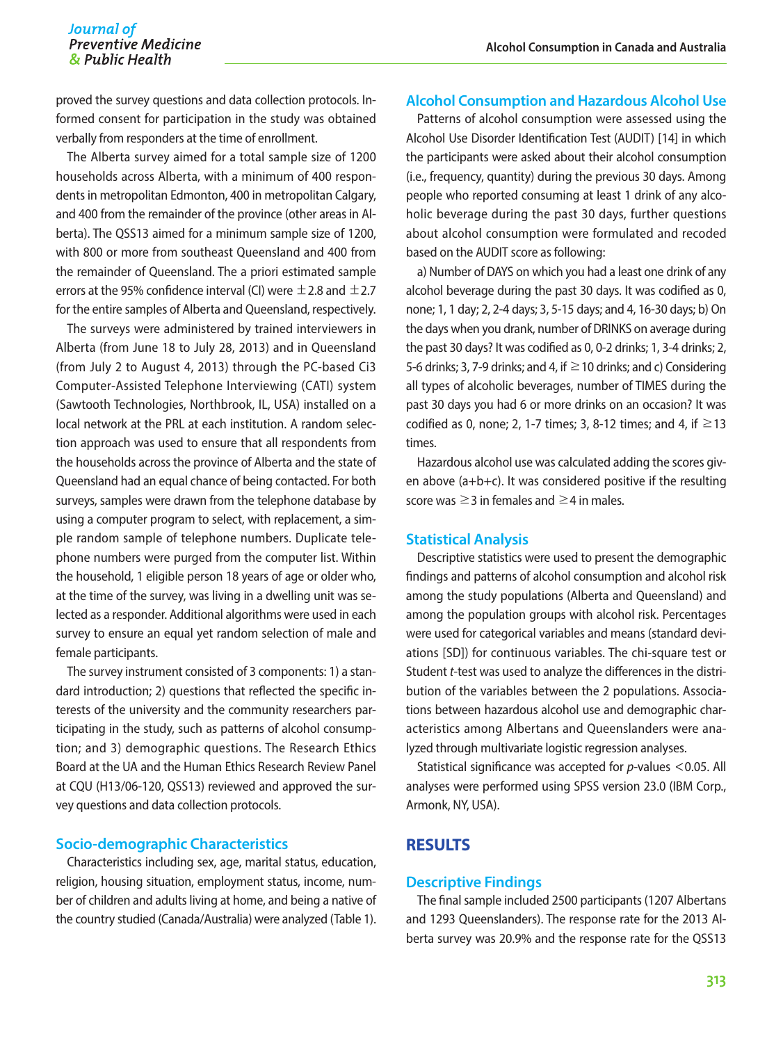proved the survey questions and data collection protocols. Informed consent for participation in the study was obtained verbally from responders at the time of enrollment.

The Alberta survey aimed for a total sample size of 1200 households across Alberta, with a minimum of 400 respondents in metropolitan Edmonton, 400 in metropolitan Calgary, and 400 from the remainder of the province (other areas in Alberta). The QSS13 aimed for a minimum sample size of 1200, with 800 or more from southeast Queensland and 400 from the remainder of Queensland. The a priori estimated sample errors at the 95% confidence interval (CI) were  $\pm$  2.8 and  $\pm$  2.7 for the entire samples of Alberta and Queensland, respectively.

The surveys were administered by trained interviewers in Alberta (from June 18 to July 28, 2013) and in Queensland (from July 2 to August 4, 2013) through the PC-based Ci3 Computer-Assisted Telephone Interviewing (CATI) system (Sawtooth Technologies, Northbrook, IL, USA) installed on a local network at the PRL at each institution. A random selection approach was used to ensure that all respondents from the households across the province of Alberta and the state of Queensland had an equal chance of being contacted. For both surveys, samples were drawn from the telephone database by using a computer program to select, with replacement, a simple random sample of telephone numbers. Duplicate telephone numbers were purged from the computer list. Within the household, 1 eligible person 18 years of age or older who, at the time of the survey, was living in a dwelling unit was selected as a responder. Additional algorithms were used in each survey to ensure an equal yet random selection of male and female participants.

The survey instrument consisted of 3 components: 1) a standard introduction; 2) questions that reflected the specific interests of the university and the community researchers participating in the study, such as patterns of alcohol consumption; and 3) demographic questions. The Research Ethics Board at the UA and the Human Ethics Research Review Panel at CQU (H13/06-120, QSS13) reviewed and approved the survey questions and data collection protocols.

#### **Socio-demographic Characteristics**

Characteristics including sex, age, marital status, education, religion, housing situation, employment status, income, number of children and adults living at home, and being a native of the country studied (Canada/Australia) were analyzed (Table 1).

#### **Alcohol Consumption and Hazardous Alcohol Use**

Patterns of alcohol consumption were assessed using the Alcohol Use Disorder Identification Test (AUDIT) [14] in which the participants were asked about their alcohol consumption (i.e., frequency, quantity) during the previous 30 days. Among people who reported consuming at least 1 drink of any alcoholic beverage during the past 30 days, further questions about alcohol consumption were formulated and recoded based on the AUDIT score as following:

a) Number of DAYS on which you had a least one drink of any alcohol beverage during the past 30 days. It was codified as 0, none; 1, 1 day; 2, 2-4 days; 3, 5-15 days; and 4, 16-30 days; b) On the days when you drank, number of DRINKS on average during the past 30 days? It was codified as 0, 0-2 drinks; 1, 3-4 drinks; 2, 5-6 drinks; 3, 7-9 drinks; and 4, if  $\geq$  10 drinks; and c) Considering all types of alcoholic beverages, number of TIMES during the past 30 days you had 6 or more drinks on an occasion? It was codified as 0, none; 2, 1-7 times; 3, 8-12 times; and 4, if  $\geq$  13 times.

Hazardous alcohol use was calculated adding the scores given above (a+b+c). It was considered positive if the resulting score was  $\geq$  3 in females and  $\geq$  4 in males.

#### **Statistical Analysis**

Descriptive statistics were used to present the demographic findings and patterns of alcohol consumption and alcohol risk among the study populations (Alberta and Queensland) and among the population groups with alcohol risk. Percentages were used for categorical variables and means (standard deviations [SD]) for continuous variables. The chi-square test or Student *t*-test was used to analyze the differences in the distribution of the variables between the 2 populations. Associations between hazardous alcohol use and demographic characteristics among Albertans and Queenslanders were analyzed through multivariate logistic regression analyses.

Statistical significance was accepted for *p*-values <0.05. All analyses were performed using SPSS version 23.0 (IBM Corp., Armonk, NY, USA).

#### **RESULTS**

#### **Descriptive Findings**

The final sample included 2500 participants (1207 Albertans and 1293 Queenslanders). The response rate for the 2013 Alberta survey was 20.9% and the response rate for the QSS13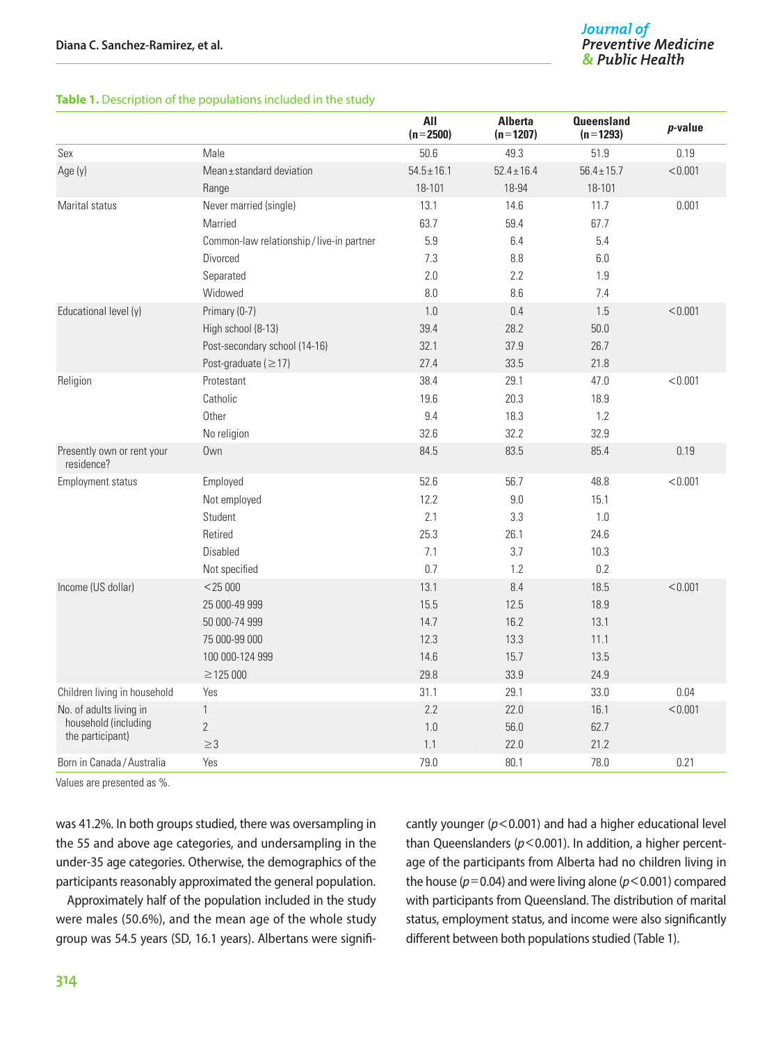#### **Table 1.** Description of the populations included in the study

|                                          |                                           | All<br>$(n=2500)$ | <b>Alberta</b><br>$(n=1207)$ | <b>Queensland</b><br>$(n=1293)$ | $p$ -value |
|------------------------------------------|-------------------------------------------|-------------------|------------------------------|---------------------------------|------------|
| Sex                                      | Male                                      | 50.6              | 49.3                         | 51.9                            | 0.19       |
| Age (y)                                  | Mean±standard deviation                   | $54.5 \pm 16.1$   | $52.4 \pm 16.4$              | $56.4 \pm 15.7$                 | < 0.001    |
|                                          | Range                                     | 18-101            | 18-94                        | 18-101                          |            |
| Marital status                           | Never married (single)                    | 13.1              | 14.6                         | 11.7                            | 0.001      |
|                                          | Married                                   | 63.7              | 59.4                         | 67.7                            |            |
|                                          | Common-law relationship / live-in partner | 5.9               | 6.4                          | 5.4                             |            |
|                                          | Divorced                                  | 7.3               | 8.8                          | $6.0\,$                         |            |
|                                          | Separated                                 | 2.0               | 2.2                          | 1.9                             |            |
|                                          | Widowed                                   | 8.0               | 8.6                          | 7.4                             |            |
| Educational level (y)                    | Primary (0-7)                             | 1.0               | 0.4                          | 1.5                             | < 0.001    |
|                                          | High school (8-13)                        | 39.4              | 28.2                         | 50.0                            |            |
|                                          | Post-secondary school (14-16)             | 32.1              | 37.9                         | 26.7                            |            |
|                                          | Post-graduate ( $\geq$ 17)                | 27.4              | 33.5                         | 21.8                            |            |
| Religion                                 | Protestant                                | 38.4              | 29.1                         | 47.0                            | < 0.001    |
|                                          | Catholic                                  | 19.6              | 20.3                         | 18.9                            |            |
|                                          | Other                                     | 9.4               | 18.3                         | 1.2                             |            |
|                                          | No religion                               | 32.6              | 32.2                         | 32.9                            |            |
| Presently own or rent your<br>residence? | Own                                       | 84.5              | 83.5                         | 85.4                            | 0.19       |
| Employment status                        | Employed                                  | 52.6              | 56.7                         | 48.8                            | < 0.001    |
|                                          | Not employed                              | 12.2              | 9.0                          | 15.1                            |            |
|                                          | Student                                   | 2.1               | 3.3                          | 1.0                             |            |
|                                          | Retired                                   | 25.3              | 26.1                         | 24.6                            |            |
|                                          | <b>Disabled</b>                           | 7.1               | 3.7                          | 10.3                            |            |
|                                          | Not specified                             | 0.7               | 1.2                          | 0.2                             |            |
| Income (US dollar)                       | $<$ 25 000                                | 13.1              | 8.4                          | 18.5                            | < 0.001    |
|                                          | 25 000-49 999                             | 15.5              | 12.5                         | 18.9                            |            |
|                                          | 50 000-74 999                             | 14.7              | 16.2                         | 13.1                            |            |
|                                          | 75 000-99 000                             | 12.3              | 13.3                         | 11.1                            |            |
|                                          | 100 000-124 999                           | 14.6              | 15.7                         | 13.5                            |            |
|                                          | $\geq$ 125 000                            | 29.8              | 33.9                         | 24.9                            |            |
| Children living in household             | Yes                                       | 31.1              | 29.1                         | 33.0                            | 0.04       |
| No. of adults living in                  | $\mathbf{1}$                              | 2.2               | 22.0                         | 16.1                            | < 0.001    |
| household (including<br>the participant) | $\overline{2}$                            | 1.0               | 56.0                         | 62.7                            |            |
|                                          | $\geq$ 3                                  | 1.1               | 22.0                         | 21.2                            |            |
| Born in Canada / Australia               | Yes                                       | 79.0              | 80.1                         | 78.0                            | 0.21       |

Values are presented as %.

was 41.2%. In both groups studied, there was oversampling in the 55 and above age categories, and undersampling in the under-35 age categories. Otherwise, the demographics of the participants reasonably approximated the general population.

Approximately half of the population included in the study were males (50.6%), and the mean age of the whole study group was 54.5 years (SD, 16.1 years). Albertans were significantly younger (*p*<0.001) and had a higher educational level than Queenslanders ( $p$ <0.001). In addition, a higher percentage of the participants from Alberta had no children living in the house ( $p=0.04$ ) and were living alone ( $p<0.001$ ) compared with participants from Queensland. The distribution of marital status, employment status, and income were also significantly different between both populations studied (Table 1).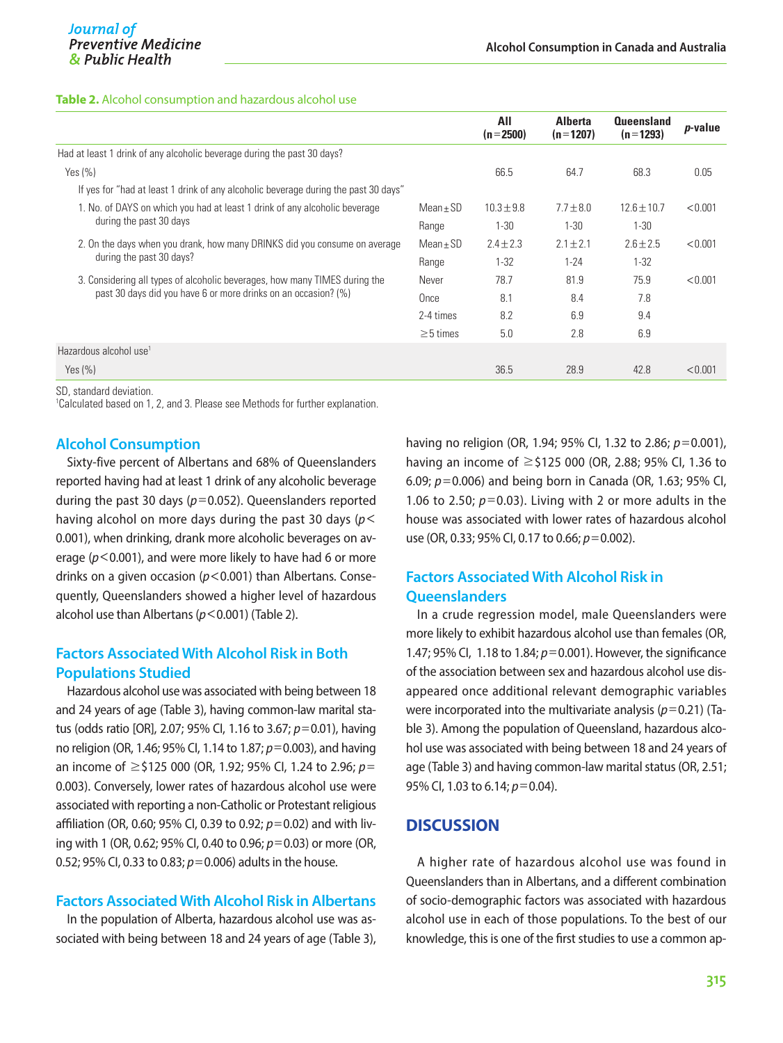#### **Table 2.** Alcohol consumption and hazardous alcohol use

|                                                                                     |                | All<br>$(n=2500)$ | <b>Alberta</b><br>$(n=1207)$ | <b>Queensland</b><br>$(n=1293)$ | $p$ -value |
|-------------------------------------------------------------------------------------|----------------|-------------------|------------------------------|---------------------------------|------------|
| Had at least 1 drink of any alcoholic beverage during the past 30 days?             |                |                   |                              |                                 |            |
| Yes $(\% )$                                                                         |                | 66.5              | 64.7                         | 68.3                            | 0.05       |
| If yes for "had at least 1 drink of any alcoholic beverage during the past 30 days" |                |                   |                              |                                 |            |
| 1. No. of DAYS on which you had at least 1 drink of any alcoholic beverage          | $Mean + SD$    | $10.3 \pm 9.8$    | $7.7 + 8.0$                  | $12.6 \pm 10.7$                 | < 0.001    |
| during the past 30 days                                                             | Range          | $1 - 30$          | $1 - 30$                     | $1 - 30$                        |            |
| 2. On the days when you drank, how many DRINKS did you consume on average           | $Mean \pm SD$  | $2.4 + 2.3$       | $2.1 \pm 2.1$                | $2.6 + 2.5$                     | < 0.001    |
| during the past 30 days?                                                            | Range          | $1 - 32$          | $1 - 24$                     | $1 - 32$                        |            |
| 3. Considering all types of alcoholic beverages, how many TIMES during the          | Never          | 78.7              | 81.9                         | 75.9                            | < 0.001    |
| past 30 days did you have 6 or more drinks on an occasion? (%)                      | Once           | 8.1               | 8.4                          | 7.8                             |            |
|                                                                                     | 2-4 times      | 8.2               | 6.9                          | 9.4                             |            |
|                                                                                     | $\geq$ 5 times | 5.0               | 2.8                          | 6.9                             |            |
| Hazardous alcohol use <sup>1</sup>                                                  |                |                   |                              |                                 |            |
| Yes $(\% )$                                                                         |                | 36.5              | 28.9                         | 42.8                            | < 0.001    |

SD, standard deviation.

1 Calculated based on 1, 2, and 3. Please see Methods for further explanation.

#### **Alcohol Consumption**

Sixty-five percent of Albertans and 68% of Queenslanders reported having had at least 1 drink of any alcoholic beverage during the past 30 days (*p*=0.052). Queenslanders reported having alcohol on more days during the past 30 days (*p*< 0.001), when drinking, drank more alcoholic beverages on average (*p*<0.001), and were more likely to have had 6 or more drinks on a given occasion (*p*<0.001) than Albertans. Consequently, Queenslanders showed a higher level of hazardous alcohol use than Albertans (*p*<0.001) (Table 2).

#### **Factors Associated With Alcohol Risk in Both Populations Studied**

Hazardous alcohol use was associated with being between 18 and 24 years of age (Table 3), having common-law marital status (odds ratio [OR], 2.07; 95% CI, 1.16 to 3.67; *p*=0.01), having no religion (OR, 1.46; 95% CI, 1.14 to 1.87; *p*=0.003), and having an income of ≥\$125 000 (OR, 1.92; 95% CI, 1.24 to 2.96; *p*= 0.003). Conversely, lower rates of hazardous alcohol use were associated with reporting a non-Catholic or Protestant religious affiliation (OR, 0.60; 95% CI, 0.39 to 0.92; *p*=0.02) and with living with 1 (OR, 0.62; 95% CI, 0.40 to 0.96; *p*=0.03) or more (OR, 0.52; 95% CI, 0.33 to 0.83; *p*=0.006) adults in the house.

#### **Factors Associated With Alcohol Risk in Albertans**

In the population of Alberta, hazardous alcohol use was associated with being between 18 and 24 years of age (Table 3),

having no religion (OR, 1.94; 95% CI, 1.32 to 2.86; *p*=0.001), having an income of ≥\$125 000 (OR, 2.88; 95% CI, 1.36 to 6.09; *p*=0.006) and being born in Canada (OR, 1.63; 95% CI, 1.06 to 2.50; *p*=0.03). Living with 2 or more adults in the house was associated with lower rates of hazardous alcohol use (OR, 0.33; 95% CI, 0.17 to 0.66; *p*=0.002).

#### **Factors Associated With Alcohol Risk in Queenslanders**

In a crude regression model, male Queenslanders were more likely to exhibit hazardous alcohol use than females (OR, 1.47; 95% CI, 1.18 to 1.84; *p*=0.001). However, the significance of the association between sex and hazardous alcohol use disappeared once additional relevant demographic variables were incorporated into the multivariate analysis (*p*=0.21) (Table 3). Among the population of Queensland, hazardous alcohol use was associated with being between 18 and 24 years of age (Table 3) and having common-law marital status (OR, 2.51; 95% CI, 1.03 to 6.14; *p*=0.04).

#### **DISCUSSION**

A higher rate of hazardous alcohol use was found in Queenslanders than in Albertans, and a different combination of socio-demographic factors was associated with hazardous alcohol use in each of those populations. To the best of our knowledge, this is one of the first studies to use a common ap-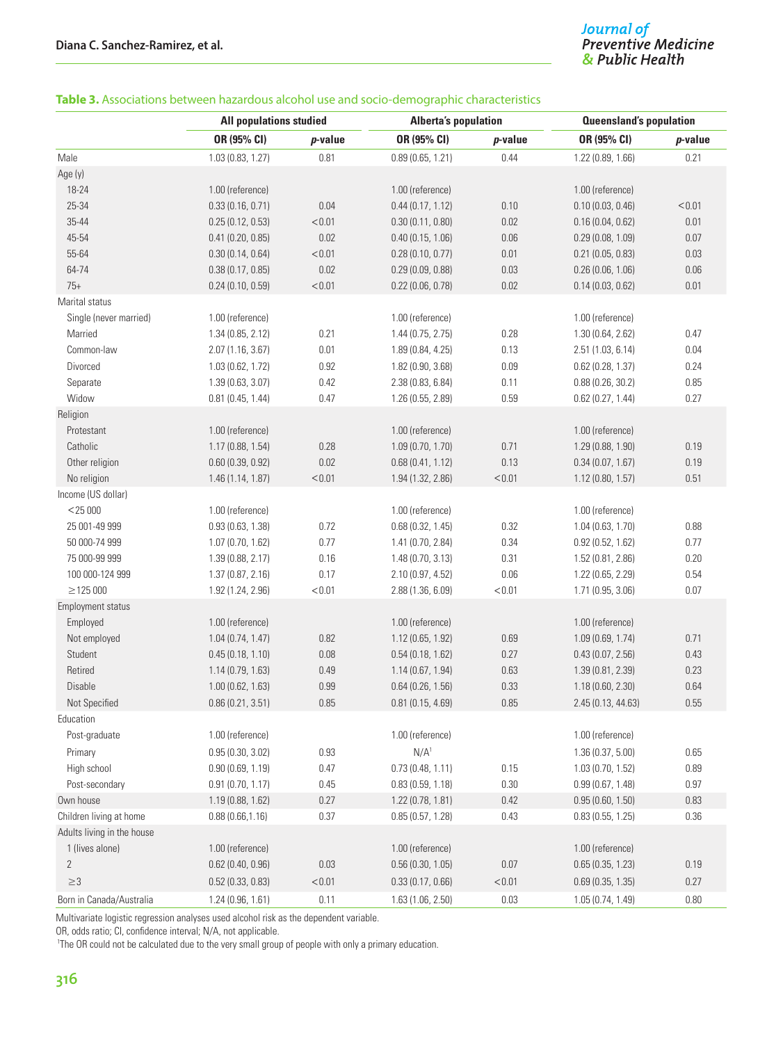# Journal of<br>Preventive Medicine<br>& Public Health

#### **Table 3.** Associations between hazardous alcohol use and socio-demographic characteristics

|                            |                   | <b>All populations studied</b> |                     | <b>Alberta's population</b> |                    | <b>Queensland's population</b> |  |
|----------------------------|-------------------|--------------------------------|---------------------|-----------------------------|--------------------|--------------------------------|--|
|                            | OR (95% CI)       | <i>p</i> -value                | OR (95% CI)         | <i>p</i> -value             | OR (95% CI)        | p-value                        |  |
| Male                       | 1.03 (0.83, 1.27) | 0.81                           | 0.89(0.65, 1.21)    | 0.44                        | 1.22 (0.89, 1.66)  | 0.21                           |  |
| Age (y)                    |                   |                                |                     |                             |                    |                                |  |
| 18-24                      | 1.00 (reference)  |                                | 1.00 (reference)    |                             | 1.00 (reference)   |                                |  |
| 25-34                      | 0.33(0.16, 0.71)  | 0.04                           | 0.44(0.17, 1.12)    | 0.10                        | 0.10(0.03, 0.46)   | < 0.01                         |  |
| 35-44                      | 0.25(0.12, 0.53)  | < 0.01                         | 0.30(0.11, 0.80)    | 0.02                        | 0.16(0.04, 0.62)   | 0.01                           |  |
| 45-54                      | 0.41(0.20, 0.85)  | 0.02                           | 0.40(0.15, 1.06)    | 0.06                        | 0.29(0.08, 1.09)   | 0.07                           |  |
| 55-64                      | 0.30(0.14, 0.64)  | < 0.01                         | 0.28(0.10, 0.77)    | 0.01                        | 0.21(0.05, 0.83)   | 0.03                           |  |
| 64-74                      | 0.38(0.17, 0.85)  | 0.02                           | 0.29(0.09, 0.88)    | 0.03                        | 0.26(0.06, 1.06)   | 0.06                           |  |
| $75+$                      | 0.24(0.10, 0.59)  | < 0.01                         | 0.22(0.06, 0.78)    | $0.02\,$                    | 0.14(0.03, 0.62)   | 0.01                           |  |
| Marital status             |                   |                                |                     |                             |                    |                                |  |
| Single (never married)     | 1.00 (reference)  |                                | 1.00 (reference)    |                             | 1.00 (reference)   |                                |  |
| Married                    | 1.34 (0.85, 2.12) | 0.21                           | 1.44(0.75, 2.75)    | 0.28                        | 1.30 (0.64, 2.62)  | 0.47                           |  |
| Common-law                 | 2.07 (1.16, 3.67) | 0.01                           | 1.89 (0.84, 4.25)   | 0.13                        | 2.51 (1.03, 6.14)  | 0.04                           |  |
| Divorced                   | 1.03 (0.62, 1.72) | 0.92                           | 1.82 (0.90, 3.68)   | 0.09                        | 0.62(0.28, 1.37)   | 0.24                           |  |
| Separate                   | 1.39 (0.63, 3.07) | 0.42                           | 2.38 (0.83, 6.84)   | 0.11                        | 0.88(0.26, 30.2)   | 0.85                           |  |
| Widow                      | 0.81(0.45, 1.44)  | 0.47                           | 1.26 (0.55, 2.89)   | 0.59                        | 0.62(0.27, 1.44)   | 0.27                           |  |
| Religion                   |                   |                                |                     |                             |                    |                                |  |
| Protestant                 | 1.00 (reference)  |                                | 1.00 (reference)    |                             | 1.00 (reference)   |                                |  |
| Catholic                   | 1.17 (0.88, 1.54) | 0.28                           | 1.09 (0.70, 1.70)   | 0.71                        | 1.29 (0.88, 1.90)  | 0.19                           |  |
| Other religion             | 0.60(0.39, 0.92)  | 0.02                           | 0.68(0.41, 1.12)    | 0.13                        | 0.34(0.07, 1.67)   | 0.19                           |  |
| No religion                | 1.46 (1.14, 1.87) | < 0.01                         | 1.94 (1.32, 2.86)   | < 0.01                      | 1.12(0.80, 1.57)   | 0.51                           |  |
| Income (US dollar)         |                   |                                |                     |                             |                    |                                |  |
| $<$ 25 000                 | 1.00 (reference)  |                                | 1.00 (reference)    |                             | 1.00 (reference)   |                                |  |
| 25 001-49 999              | 0.93(0.63, 1.38)  | 0.72                           | 0.68(0.32, 1.45)    | 0.32                        | 1.04(0.63, 1.70)   | 0.88                           |  |
| 50 000-74 999              | 1.07 (0.70, 1.62) | 0.77                           | 1.41 (0.70, 2.84)   | 0.34                        | 0.92(0.52, 1.62)   | 0.77                           |  |
| 75 000-99 999              | 1.39 (0.88, 2.17) | 0.16                           | 1.48(0.70, 3.13)    | 0.31                        | 1.52(0.81, 2.86)   | 0.20                           |  |
| 100 000-124 999            | 1.37 (0.87, 2.16) | 0.17                           | 2.10 (0.97, 4.52)   | 0.06                        | 1.22 (0.65, 2.29)  | 0.54                           |  |
| $\geq$ 125 000             | 1.92 (1.24, 2.96) | < 0.01                         | 2.88 (1.36, 6.09)   | < 0.01                      | 1.71 (0.95, 3.06)  | 0.07                           |  |
| <b>Employment status</b>   |                   |                                |                     |                             |                    |                                |  |
| Employed                   | 1.00 (reference)  |                                | 1.00 (reference)    |                             | 1.00 (reference)   |                                |  |
| Not employed               | 1.04(0.74, 1.47)  | 0.82                           | 1.12 (0.65, 1.92)   | 0.69                        | 1.09(0.69, 1.74)   | 0.71                           |  |
| Student                    | 0.45(0.18, 1.10)  | 0.08                           | 0.54(0.18, 1.62)    | 0.27                        | 0.43(0.07, 2.56)   | 0.43                           |  |
| Retired                    | 1.14 (0.79, 1.63) | 0.49                           | 1.14 (0.67, 1.94)   | 0.63                        | 1.39 (0.81, 2.39)  | 0.23                           |  |
| Disable                    | 1.00 (0.62, 1.63) | 0.99                           | 0.64(0.26, 1.56)    | 0.33                        | 1.18(0.60, 2.30)   | 0.64                           |  |
| Not Specified              | 0.86(0.21, 3.51)  | $0.85\,$                       | $0.81$ (0.15, 4.69) | $0.85\,$                    | 2.45 (0.13, 44.63) | 0.55                           |  |
| Education                  |                   |                                |                     |                             |                    |                                |  |
| Post-graduate              | 1.00 (reference)  |                                | 1.00 (reference)    |                             | 1.00 (reference)   |                                |  |
| Primary                    | 0.95(0.30, 3.02)  | 0.93                           | N/A <sup>1</sup>    |                             | 1.36(0.37, 5.00)   | 0.65                           |  |
| High school                | 0.90(0.69, 1.19)  | 0.47                           | 0.73(0.48, 1.11)    | 0.15                        | 1.03(0.70, 1.52)   | 0.89                           |  |
| Post-secondary             | 0.91(0.70, 1.17)  | 0.45                           | 0.83(0.59, 1.18)    | 0.30                        | 0.99(0.67, 1.48)   | 0.97                           |  |
| Own house                  | 1.19 (0.88, 1.62) | 0.27                           | 1.22 (0.78, 1.81)   | 0.42                        | 0.95(0.60, 1.50)   | 0.83                           |  |
| Children living at home    | 0.88(0.66, 1.16)  | 0.37                           | 0.85(0.57, 1.28)    | 0.43                        | 0.83(0.55, 1.25)   | 0.36                           |  |
| Adults living in the house |                   |                                |                     |                             |                    |                                |  |
| 1 (lives alone)            | 1.00 (reference)  |                                | 1.00 (reference)    |                             | 1.00 (reference)   |                                |  |
| $\overline{2}$             | 0.62(0.40, 0.96)  | 0.03                           | 0.56(0.30, 1.05)    | 0.07                        | 0.65(0.35, 1.23)   | 0.19                           |  |
| $\geq$ 3                   | 0.52(0.33, 0.83)  | < 0.01                         | 0.33(0.17, 0.66)    | < 0.01                      | 0.69(0.35, 1.35)   | 0.27                           |  |
| Born in Canada/Australia   | 1.24 (0.96, 1.61) | 0.11                           | 1.63 (1.06, 2.50)   | 0.03                        | 1.05 (0.74, 1.49)  | 0.80                           |  |
|                            |                   |                                |                     |                             |                    |                                |  |

Multivariate logistic regression analyses used alcohol risk as the dependent variable.

OR, odds ratio; CI, confidence interval; N/A, not applicable.

<sup>1</sup>The OR could not be calculated due to the very small group of people with only a primary education.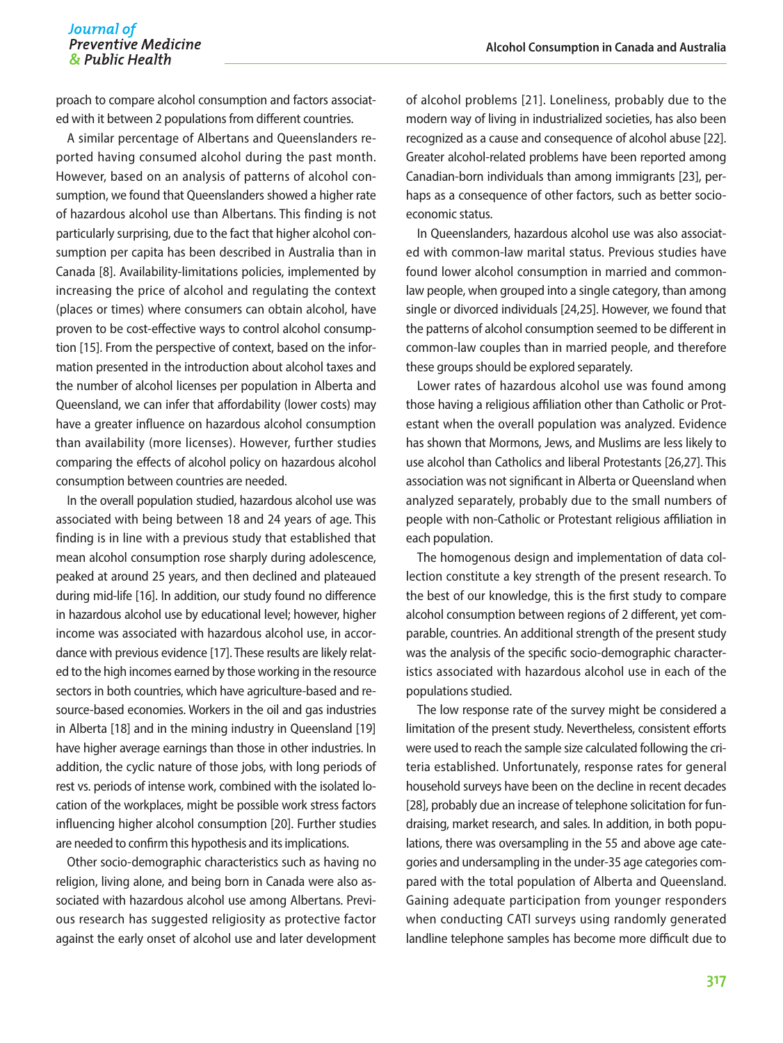#### Journal of **Preventive Medicine** & Public Health

proach to compare alcohol consumption and factors associated with it between 2 populations from different countries.

A similar percentage of Albertans and Queenslanders reported having consumed alcohol during the past month. However, based on an analysis of patterns of alcohol consumption, we found that Queenslanders showed a higher rate of hazardous alcohol use than Albertans. This finding is not particularly surprising, due to the fact that higher alcohol consumption per capita has been described in Australia than in Canada [8]. Availability-limitations policies, implemented by increasing the price of alcohol and regulating the context (places or times) where consumers can obtain alcohol, have proven to be cost-effective ways to control alcohol consumption [15]. From the perspective of context, based on the information presented in the introduction about alcohol taxes and the number of alcohol licenses per population in Alberta and Queensland, we can infer that affordability (lower costs) may have a greater influence on hazardous alcohol consumption than availability (more licenses). However, further studies comparing the effects of alcohol policy on hazardous alcohol consumption between countries are needed.

In the overall population studied, hazardous alcohol use was associated with being between 18 and 24 years of age. This finding is in line with a previous study that established that mean alcohol consumption rose sharply during adolescence, peaked at around 25 years, and then declined and plateaued during mid-life [16]. In addition, our study found no difference in hazardous alcohol use by educational level; however, higher income was associated with hazardous alcohol use, in accordance with previous evidence [17]. These results are likely related to the high incomes earned by those working in the resource sectors in both countries, which have agriculture-based and resource-based economies. Workers in the oil and gas industries in Alberta [18] and in the mining industry in Queensland [19] have higher average earnings than those in other industries. In addition, the cyclic nature of those jobs, with long periods of rest vs. periods of intense work, combined with the isolated location of the workplaces, might be possible work stress factors influencing higher alcohol consumption [20]. Further studies are needed to confirm this hypothesis and its implications.

Other socio-demographic characteristics such as having no religion, living alone, and being born in Canada were also associated with hazardous alcohol use among Albertans. Previous research has suggested religiosity as protective factor against the early onset of alcohol use and later development of alcohol problems [21]. Loneliness, probably due to the modern way of living in industrialized societies, has also been recognized as a cause and consequence of alcohol abuse [22]. Greater alcohol-related problems have been reported among Canadian-born individuals than among immigrants [23], perhaps as a consequence of other factors, such as better socioeconomic status.

In Queenslanders, hazardous alcohol use was also associated with common-law marital status. Previous studies have found lower alcohol consumption in married and commonlaw people, when grouped into a single category, than among single or divorced individuals [24,25]. However, we found that the patterns of alcohol consumption seemed to be different in common-law couples than in married people, and therefore these groups should be explored separately.

Lower rates of hazardous alcohol use was found among those having a religious affiliation other than Catholic or Protestant when the overall population was analyzed. Evidence has shown that Mormons, Jews, and Muslims are less likely to use alcohol than Catholics and liberal Protestants [26,27]. This association was not significant in Alberta or Queensland when analyzed separately, probably due to the small numbers of people with non-Catholic or Protestant religious affiliation in each population.

The homogenous design and implementation of data collection constitute a key strength of the present research. To the best of our knowledge, this is the first study to compare alcohol consumption between regions of 2 different, yet comparable, countries. An additional strength of the present study was the analysis of the specific socio-demographic characteristics associated with hazardous alcohol use in each of the populations studied.

The low response rate of the survey might be considered a limitation of the present study. Nevertheless, consistent efforts were used to reach the sample size calculated following the criteria established. Unfortunately, response rates for general household surveys have been on the decline in recent decades [28], probably due an increase of telephone solicitation for fundraising, market research, and sales. In addition, in both populations, there was oversampling in the 55 and above age categories and undersampling in the under-35 age categories compared with the total population of Alberta and Queensland. Gaining adequate participation from younger responders when conducting CATI surveys using randomly generated landline telephone samples has become more difficult due to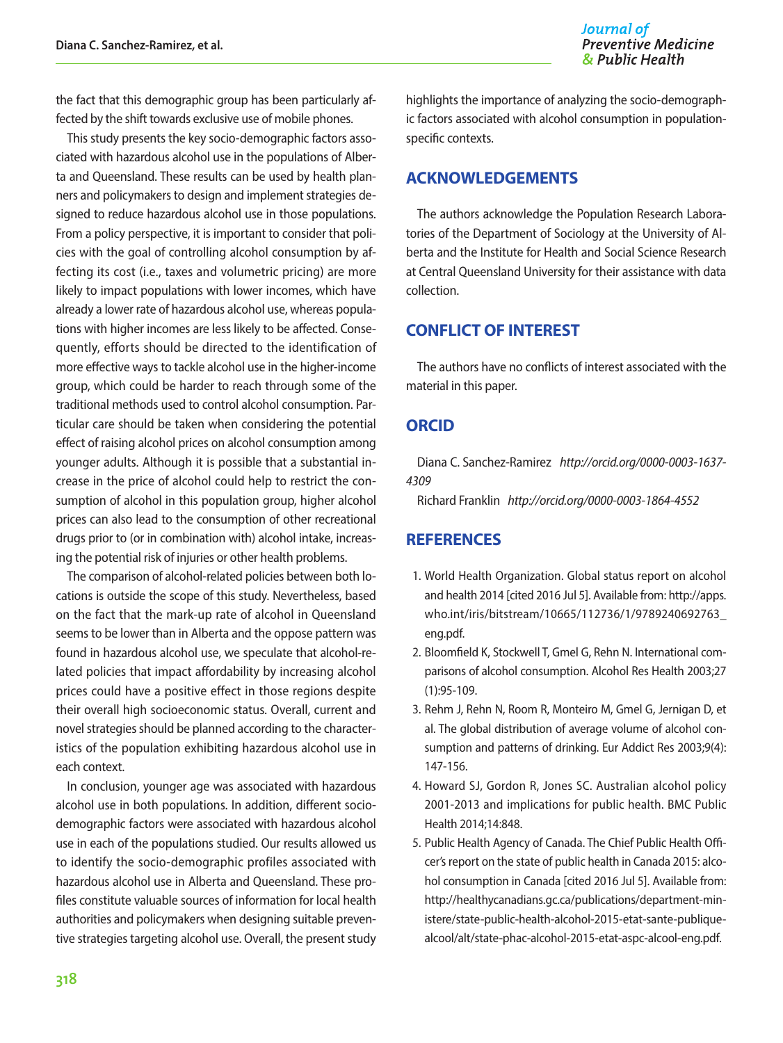the fact that this demographic group has been particularly affected by the shift towards exclusive use of mobile phones.

This study presents the key socio-demographic factors associated with hazardous alcohol use in the populations of Alberta and Queensland. These results can be used by health planners and policymakers to design and implement strategies designed to reduce hazardous alcohol use in those populations. From a policy perspective, it is important to consider that policies with the goal of controlling alcohol consumption by affecting its cost (i.e., taxes and volumetric pricing) are more likely to impact populations with lower incomes, which have already a lower rate of hazardous alcohol use, whereas populations with higher incomes are less likely to be affected. Consequently, efforts should be directed to the identification of more effective ways to tackle alcohol use in the higher-income group, which could be harder to reach through some of the traditional methods used to control alcohol consumption. Particular care should be taken when considering the potential effect of raising alcohol prices on alcohol consumption among younger adults. Although it is possible that a substantial increase in the price of alcohol could help to restrict the consumption of alcohol in this population group, higher alcohol prices can also lead to the consumption of other recreational drugs prior to (or in combination with) alcohol intake, increasing the potential risk of injuries or other health problems.

The comparison of alcohol-related policies between both locations is outside the scope of this study. Nevertheless, based on the fact that the mark-up rate of alcohol in Queensland seems to be lower than in Alberta and the oppose pattern was found in hazardous alcohol use, we speculate that alcohol-related policies that impact affordability by increasing alcohol prices could have a positive effect in those regions despite their overall high socioeconomic status. Overall, current and novel strategies should be planned according to the characteristics of the population exhibiting hazardous alcohol use in each context.

In conclusion, younger age was associated with hazardous alcohol use in both populations. In addition, different sociodemographic factors were associated with hazardous alcohol use in each of the populations studied. Our results allowed us to identify the socio-demographic profiles associated with hazardous alcohol use in Alberta and Queensland. These profiles constitute valuable sources of information for local health authorities and policymakers when designing suitable preventive strategies targeting alcohol use. Overall, the present study

highlights the importance of analyzing the socio-demographic factors associated with alcohol consumption in populationspecific contexts.

#### **ACKNOWLEDGEMENTS**

The authors acknowledge the Population Research Laboratories of the Department of Sociology at the University of Alberta and the Institute for Health and Social Science Research at Central Queensland University for their assistance with data collection.

#### **CONFLICT OF INTEREST**

The authors have no conflicts of interest associated with the material in this paper.

#### **ORCID**

Diana C. Sanchez-Ramirez *http://orcid.org/0000-0003-1637- 4309*

Richard Franklin *http://orcid.org/0000-0003-1864-4552*

#### **REFERENCES**

- 1. World Health Organization. Global status report on alcohol and health 2014 [cited 2016 Jul 5]. Available from: http://apps. who.int/iris/bitstream/10665/112736/1/9789240692763\_ eng.pdf.
- 2. Bloomfield K, Stockwell T, Gmel G, Rehn N. International comparisons of alcohol consumption. Alcohol Res Health 2003;27 (1):95-109.
- 3. Rehm J, Rehn N, Room R, Monteiro M, Gmel G, Jernigan D, et al. The global distribution of average volume of alcohol consumption and patterns of drinking. Eur Addict Res 2003;9(4): 147-156.
- 4. Howard SJ, Gordon R, Jones SC. Australian alcohol policy 2001-2013 and implications for public health. BMC Public Health 2014;14:848.
- 5. Public Health Agency of Canada. The Chief Public Health Officer's report on the state of public health in Canada 2015: alcohol consumption in Canada [cited 2016 Jul 5]. Available from: http://healthycanadians.gc.ca/publications/department-ministere/state-public-health-alcohol-2015-etat-sante-publiquealcool/alt/state-phac-alcohol-2015-etat-aspc-alcool-eng.pdf.